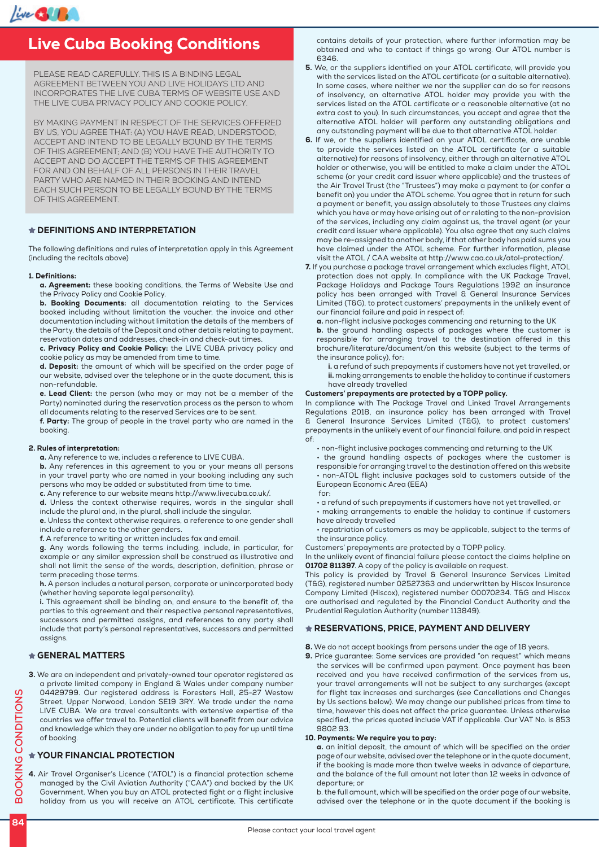

#### ive Cuba Rooking Live Cuba Booking Conditions

PLEASE READ CAREFULLY. THIS IS A BINDING LEGAL AGREEMENT BETWEEN YOU AND LIVE HOLIDAYS LTD AND INCORPORATES THE LIVE CUBA TERMS OF WEBSITE USE AND THE LIVE CUBA PRIVACY POLICY AND COOKIE POLICY.

BY MAKING PAYMENT IN RESPECT OF THE SERVICES OFFERED BY US, YOU AGREE THAT: (A) YOU HAVE READ, UNDERSTOOD, ACCEPT AND INTEND TO BE LEGALLY BOUND BY THE TERMS OF THIS AGREEMENT; AND (B) YOU HAVE THE AUTHORITY TO ACCEPT AND DO ACCEPT THE TERMS OF THIS AGREEMENT FOR AND ON BEHALF OF ALL PERSONS IN THEIR TRAVEL PARTY WHO ARE NAMED IN THEIR BOOKING AND INTEND EACH SUCH PERSON TO BE LEGALLY BOUND BY THE TERMS OF THIS AGREEMENT.

# DEFINITIONS AND INTERPRETATION

The following definitions and rules of interpretation apply in this Agreement (including the recitals above)

#### 1. Definitions:

a. Agreement: these booking conditions, the Terms of Website Use and the Privacy Policy and Cookie Policy.

b. Booking Documents: all documentation relating to the Services booked including without limitation the voucher, the invoice and other documentation including without limitation the details of the members of the Party, the details of the Deposit and other details relating to payment, reservation dates and addresses, check-in and check-out times.

c. Privacy Policy and Cookie Policy: the LIVE CUBA privacy policy and cookie policy as may be amended from time to time.

d. Deposit: the amount of which will be specified on the order page of our website, advised over the telephone or in the quote document, this is non-refundable.

e. Lead Client: the person (who may or may not be a member of the Party) nominated during the reservation process as the person to whom all documents relating to the reserved Services are to be sent.

f. Party: The group of people in the travel party who are named in the booking.

#### 2. Rules of interpretation:

a. Any reference to we, includes a reference to LIVE CUBA.

b. Any references in this agreement to you or your means all persons in your travel party who are named in your booking including any such persons who may be added or substituted from time to time.

c. Any reference to our website means http://www.livecuba.co.uk/.

d. Unless the context otherwise requires, words in the singular shall

include the plural and, in the plural, shall include the singular. e. Unless the context otherwise requires, a reference to one gender shall include a reference to the other genders.

f. A reference to writing or written includes fax and email.

g. Any words following the terms including, include, in particular, for example or any similar expression shall be construed as illustrative and shall not limit the sense of the words, description, definition, phrase or term preceding those terms.

h. A person includes a natural person, corporate or unincorporated body (whether having separate legal personality).

i. This agreement shall be binding on, and ensure to the benefit of, the parties to this agreement and their respective personal representatives, successors and permitted assigns, and references to any party shall include that party's personal representatives, successors and permitted assigns.

# GENERAL MATTERS

3. We are an independent and privately-owned tour operator registered as a private limited company in England & Wales under company number 04429799. Our registered address is Foresters Hall, 25-27 Westow Street, Upper Norwood, London SE19 3RY. We trade under the name LIVE CUBA. We are travel consultants with extensive expertise of the countries we offer travel to. Potential clients will benefit from our advice and knowledge which they are under no obligation to pay for up until time of booking.

# YOUR FINANCIAL PROTECTION

4. Air Travel Organiser's Licence ("ATOL") is a financial protection scheme managed by the Civil Aviation Authority ("CAA") and backed by the UK Government. When you buy an ATOL protected fight or a flight inclusive holiday from us you will receive an ATOL certificate. This certificate

contains details of your protection, where further information may be obtained and who to contact if things go wrong. Our ATOL number is 6346.

- 5. We, or the suppliers identified on your ATOL certificate, will provide you with the services listed on the ATOL certificate (or a suitable alternative). In some cases, where neither we nor the supplier can do so for reasons of insolvency, an alternative ATOL holder may provide you with the services listed on the ATOL certificate or a reasonable alternative (at no extra cost to you). In such circumstances, you accept and agree that the alternative ATOL holder will perform any outstanding obligations and any outstanding payment will be due to that alternative ATOL holder.
- 6. If we, or the suppliers identified on your ATOL certificate, are unable to provide the services listed on the ATOL certificate (or a suitable alternative) for reasons of insolvency, either through an alternative ATOL holder or otherwise, you will be entitled to make a claim under the ATOL scheme (or your credit card issuer where applicable) and the trustees of the Air Travel Trust (the "Trustees") may make a payment to (or confer a benefit on) you under the ATOL scheme. You agree that in return for such a payment or benefit, you assign absolutely to those Trustees any claims which you have or may have arising out of or relating to the non-provision of the services, including any claim against us, the travel agent (or your credit card issuer where applicable). You also agree that any such claims may be re-assigned to another body, if that other body has paid sums you have claimed under the ATOL scheme. For further information, please visit the ATOL / CAA website at http://www.caa.co.uk/atol-protection/.
- 7. If you purchase a package travel arrangement which excludes flight, ATOL protection does not apply. In compliance with the UK Package Travel, Package Holidays and Package Tours Regulations 1992 an insurance policy has been arranged with Travel & General Insurance Services Limited (T&G), to protect customers' prepayments in the unlikely event of our financial failure and paid in respect of:

a. non-flight inclusive packages commencing and returning to the UK

b. the ground handling aspects of packages where the customer is responsible for arranging travel to the destination offered in this brochure/literature/document/on this website (subject to the terms of the insurance policy), for:

i. a refund of such prepayments if customers have not yet travelled, or ii. making arrangements to enable the holiday to continue if customers have already travelled

#### Customers' prepayments are protected by a TOPP policy.

In compliance with The Package Travel and Linked Travel Arrangements Regulations 2018, an insurance policy has been arranged with Travel & General Insurance Services Limited (T&G), to protect customers' prepayments in the unlikely event of our financial failure, and paid in respect of:

- non-flight inclusive packages commencing and returning to the UK
- the ground handling aspects of packages where the customer is responsible for arranging travel to the destination offered on this website • non-ATOL flight inclusive packages sold to customers outside of the European Economic Area (EEA) for:
	-
- a refund of such prepayments if customers have not yet travelled, or
- making arrangements to enable the holiday to continue if customers have already travelled
- repatriation of customers as may be applicable, subject to the terms of the insurance policy.

Customers' prepayments are protected by a TOPP policy.

In the unlikely event of financial failure please contact the claims helpline on 01702 811397. A copy of the policy is available on request.

This policy is provided by Travel & General Insurance Services Limited (T&G), registered number 02527363 and underwritten by Hiscox Insurance Company Limited (Hiscox), registered number 00070234. T&G and Hiscox are authorised and regulated by the Financial Conduct Authority and the Prudential Regulation Authority (number 113849).

# RESERVATIONS, PRICE, PAYMENT AND DELIVERY

- 8. We do not accept bookings from persons under the age of 18 years.
- 9. Price guarantee: Some services are provided "on request" which means the services will be confirmed upon payment. Once payment has been received and you have received confirmation of the services from us, your travel arrangements will not be subject to any surcharges (except for flight tax increases and surcharges (see Cancellations and Changes by Us sections below). We may change our published prices from time to time, however this does not affect the price guarantee. Unless otherwise specified, the prices quoted include VAT if applicable. Our VAT No. is 853 9802 93.

## 10. Payments: We require you to pay:

a. an initial deposit, the amount of which will be specified on the order page of our website, advised over the telephone or in the quote document, if the booking is made more than twelve weeks in advance of departure, and the balance of the full amount not later than 12 weeks in advance of departure; or

b. the full amount, which will be specified on the order page of our website, advised over the telephone or in the quote document if the booking is

**BOOKING CONDITIONS**

**BOOKING CONDITIONS**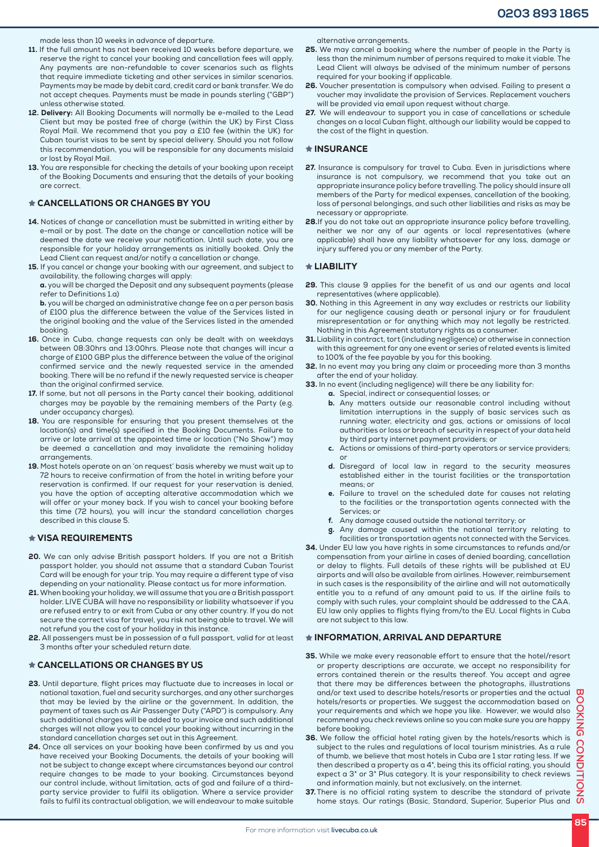made less than 10 weeks in advance of departure.

- 11. If the full amount has not been received 10 weeks before departure, we reserve the right to cancel your booking and cancellation fees will apply. Any payments are non-refundable to cover scenarios such as flights that require immediate ticketing and other services in similar scenarios. Payments may be made by debit card, credit card or bank transfer. We do not accept cheques. Payments must be made in pounds sterling ("GBP") unless otherwise stated.
- 12. Delivery: All Booking Documents will normally be e-mailed to the Lead Client but may be posted free of charge (within the UK) by First Class Royal Mail. We recommend that you pay a £10 fee (within the UK) for Cuban tourist visas to be sent by special delivery. Should you not follow this recommendation, you will be responsible for any documents mislaid or lost by Royal Mail.
- 13. You are responsible for checking the details of your booking upon receipt of the Booking Documents and ensuring that the details of your booking are correct.

# CANCELLATIONS OR CHANGES BY YOU

- 14. Notices of change or cancellation must be submitted in writing either by e-mail or by post. The date on the change or cancellation notice will be deemed the date we receive your notification. Until such date, you are responsible for your holiday arrangements as initially booked. Only the Lead Client can request and/or notify a cancellation or change.
- 15. If you cancel or change your booking with our agreement, and subject to availability, the following charges will apply:

a. you will be charged the Deposit and any subsequent payments (please refer to Definitions 1.a)

b. you will be charged an administrative change fee on a per person basis of £100 plus the difference between the value of the Services listed in the original booking and the value of the Services listed in the amended booking.

- 16. Once in Cuba, change requests can only be dealt with on weekdays between 08:30hrs and 13:00hrs. Please note that changes will incur a charge of £100 GBP plus the difference between the value of the original confirmed service and the newly requested service in the amended booking. There will be no refund if the newly requested service is cheaper than the original confirmed service.
- 17. If some, but not all persons in the Party cancel their booking, additional charges may be payable by the remaining members of the Party (e.g. under occupancy charges).
- 18. You are responsible for ensuring that you present themselves at the location(s) and time(s) specified in the Booking Documents. Failure to arrive or late arrival at the appointed time or location ("No Show") may be deemed a cancellation and may invalidate the remaining holiday arrangements.
- 19. Most hotels operate on an 'on request' basis whereby we must wait up to 72 hours to receive confirmation of from the hotel in writing before your reservation is confirmed. If our request for your reservation is denied, you have the option of accepting alterative accommodation which we will offer or your money back. If you wish to cancel your booking before this time (72 hours), you will incur the standard cancellation charges described in this clause 5.

# VISA REQUIREMENTS

- 20. We can only advise British passport holders. If you are not a British passport holder, you should not assume that a standard Cuban Tourist Card will be enough for your trip. You may require a different type of visa depending on your nationality. Please contact us for more information.
- 21. When booking your holiday, we will assume that you are a British passport holder. LIVE CUBA will have no responsibility or liability whatsoever if you are refused entry to or exit from Cuba or any other country. If you do not secure the correct visa for travel, you risk not being able to travel. We will not refund you the cost of your holiday in this instance.
- 22. All passengers must be in possession of a full passport, valid for at least 3 months after your scheduled return date.

# CANCELLATIONS OR CHANGES BY US

- 23. Until departure, flight prices may fluctuate due to increases in local or national taxation, fuel and security surcharges, and any other surcharges that may be levied by the airline or the government. In addition, the payment of taxes such as Air Passenger Duty ("APD") is compulsory. Any such additional charges will be added to your invoice and such additional charges will not allow you to cancel your booking without incurring in the standard cancellation charges set out in this Agreement.
- 24. Once all services on your booking have been confirmed by us and you have received your Booking Documents, the details of your booking will not be subject to change except where circumstances beyond our control require changes to be made to your booking. Circumstances beyond our control include, without limitation, acts of god and failure of a thirdparty service provider to fulfil its obligation. Where a service provider fails to fulfil its contractual obligation, we will endeavour to make suitable

alternative arrangements.

- 25. We may cancel a booking where the number of people in the Party is less than the minimum number of persons required to make it viable. The Lead Client will always be advised of the minimum number of persons required for your booking if applicable.
- 26. Voucher presentation is compulsory when advised. Failing to present a voucher may invalidate the provision of Services. Replacement vouchers will be provided via email upon request without charge.
- 27. We will endeavour to support you in case of cancellations or schedule changes on a local Cuban flight, although our liability would be capped to the cost of the flight in question.

## $\star$  INSURANCE

- 27. Insurance is compulsory for travel to Cuba. Even in jurisdictions where insurance is not compulsory, we recommend that you take out an appropriate insurance policy before travelling. The policy should insure all members of the Party for medical expenses, cancellation of the booking, loss of personal belongings, and such other liabilities and risks as may be necessary or appropriate.
- 28.If you do not take out an appropriate insurance policy before travelling, neither we nor any of our agents or local representatives (where applicable) shall have any liability whatsoever for any loss, damage or injury suffered you or any member of the Party.

### **THE LIABILITY**

- 29. This clause 9 applies for the benefit of us and our agents and local representatives (where applicable).
- 30. Nothing in this Agreement in any way excludes or restricts our liability for our negligence causing death or personal injury or for fraudulent misrepresentation or for anything which may not legally be restricted. Nothing in this Agreement statutory rights as a consumer.
- 31. Liability in contract, tort (including negligence) or otherwise in connection with this agreement for any one event or series of related events is limited to 100% of the fee payable by you for this booking.
- 32. In no event may you bring any claim or proceeding more than 3 months after the end of your holiday.
- 33. In no event (including negligence) will there be any liability for:
	- a. Special, indirect or consequential losses; or
		- b. Any matters outside our reasonable control including without limitation interruptions in the supply of basic services such as running water, electricity and gas, actions or omissions of local authorities or loss or breach of security in respect of your data held by third party internet payment providers; or
		- c. Actions or omissions of third-party operators or service providers; or
		- d. Disregard of local law in regard to the security measures established either in the tourist facilities or the transportation means; or
		- e. Failure to travel on the scheduled date for causes not relating to the facilities or the transportation agents connected with the Services; or
		- f. Any damage caused outside the national territory; or
		- g. Any damage caused within the national territory relating to facilities or transportation agents not connected with the Services.
- 34. Under EU law you have rights in some circumstances to refunds and/or compensation from your airline in cases of denied boarding, cancellation or delay to flights. Full details of these rights will be published at EU airports and will also be available from airlines. However, reimbursement in such cases is the responsibility of the airline and will not automatically entitle you to a refund of any amount paid to us. If the airline fails to comply with such rules, your complaint should be addressed to the CAA. EU law only applies to flights flying from/to the EU. Local flights in Cuba are not subject to this law.

### INFORMATION, ARRIVAL AND DEPARTURE

- 35. While we make every reasonable effort to ensure that the hotel/resort or property descriptions are accurate, we accept no responsibility for errors contained therein or the results thereof. You accept and agree that there may be differences between the photographs, illustrations and/or text used to describe hotels/resorts or properties and the actual  $\Box$ hotels/resorts or properties. We suggest the accommodation based on your requirements and which we hope you like. However, we would also recommend you check reviews online so you can make sure you are happy before booking.
- 36. We follow the official hotel rating given by the hotels/resorts which is subject to the rules and regulations of local tourism ministries. As a rule of thumb, we believe that most hotels in Cuba are 1 star rating less. If we then described a property as a 4\*, being this its official rating, you should expect a 3\* or 3\* Plus category. It is your responsibility to check reviews and information mainly, but not exclusively, on the internet.
- 37. There is no official rating system to describe the standard of private home stays. Our ratings (Basic, Standard, Superior, Superior Plus and